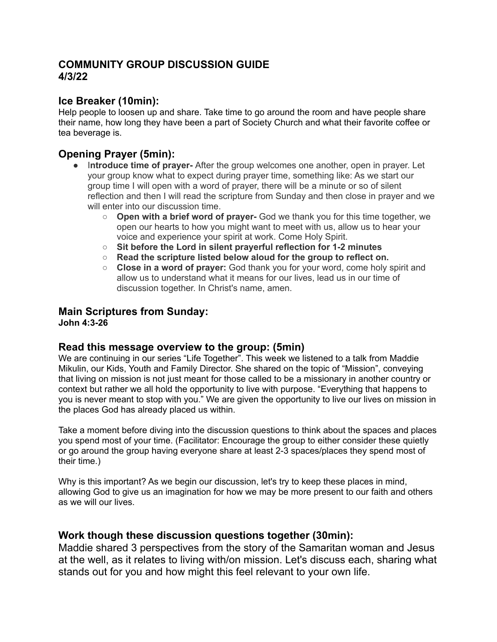# **COMMUNITY GROUP DISCUSSION GUIDE 4/3/22**

## **Ice Breaker (10min):**

Help people to loosen up and share. Take time to go around the room and have people share their name, how long they have been a part of Society Church and what their favorite coffee or tea beverage is.

## **Opening Prayer (5min):**

- I**ntroduce time of prayer-** After the group welcomes one another, open in prayer. Let your group know what to expect during prayer time, something like: As we start our group time I will open with a word of prayer, there will be a minute or so of silent reflection and then I will read the scripture from Sunday and then close in prayer and we will enter into our discussion time.
	- **Open with a brief word of prayer-** God we thank you for this time together, we open our hearts to how you might want to meet with us, allow us to hear your voice and experience your spirit at work. Come Holy Spirit.
	- **○ Sit before the Lord in silent prayerful reflection for 1-2 minutes**
	- **○ Read the scripture listed below aloud for the group to reflect on.**
	- **Close in a word of prayer:** God thank you for your word, come holy spirit and allow us to understand what it means for our lives, lead us in our time of discussion together. In Christ's name, amen.

#### **Main Scriptures from Sunday: John 4:3-26**

# **Read this message overview to the group: (5min)**

We are continuing in our series "Life Together". This week we listened to a talk from Maddie Mikulin, our Kids, Youth and Family Director. She shared on the topic of "Mission", conveying that living on mission is not just meant for those called to be a missionary in another country or context but rather we all hold the opportunity to live with purpose. "Everything that happens to you is never meant to stop with you." We are given the opportunity to live our lives on mission in the places God has already placed us within.

Take a moment before diving into the discussion questions to think about the spaces and places you spend most of your time. (Facilitator: Encourage the group to either consider these quietly or go around the group having everyone share at least 2-3 spaces/places they spend most of their time.)

Why is this important? As we begin our discussion, let's try to keep these places in mind, allowing God to give us an imagination for how we may be more present to our faith and others as we will our lives.

### **Work though these discussion questions together (30min):**

Maddie shared 3 perspectives from the story of the Samaritan woman and Jesus at the well, as it relates to living with/on mission. Let's discuss each, sharing what stands out for you and how might this feel relevant to your own life.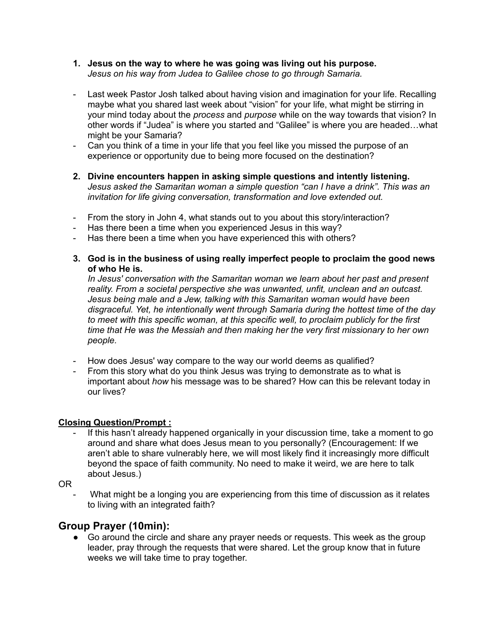- **1. Jesus on the way to where he was going was living out his purpose.** *Jesus on his way from Judea to Galilee chose to go through Samaria.*
- Last week Pastor Josh talked about having vision and imagination for your life. Recalling maybe what you shared last week about "vision" for your life, what might be stirring in your mind today about the *process* and *purpose* while on the way towards that vision? In other words if "Judea" is where you started and "Galilee" is where you are headed…what might be your Samaria?
- Can you think of a time in your life that you feel like you missed the purpose of an experience or opportunity due to being more focused on the destination?
- **2. Divine encounters happen in asking simple questions and intently listening.** *Jesus asked the Samaritan woman a simple question "can I have a drink". This was an invitation for life giving conversation, transformation and love extended out.*
- From the story in John 4, what stands out to you about this story/interaction?
- Has there been a time when you experienced Jesus in this way?
- Has there been a time when you have experienced this with others?
- **3. God is in the business of using really imperfect people to proclaim the good news of who He is.**

*In Jesus' conversation with the Samaritan woman we learn about her past and present reality. From a societal perspective she was unwanted, unfit, unclean and an outcast. Jesus being male and a Jew, talking with this Samaritan woman would have been disgraceful. Yet, he intentionally went through Samaria during the hottest time of the day to meet with this specific woman, at this specific well, to proclaim publicly for the first time that He was the Messiah and then making her the very first missionary to her own people.*

- How does Jesus' way compare to the way our world deems as qualified?
- From this story what do you think Jesus was trying to demonstrate as to what is important about *how* his message was to be shared? How can this be relevant today in our lives?

#### **Closing Question/Prompt :**

If this hasn't already happened organically in your discussion time, take a moment to go around and share what does Jesus mean to you personally? (Encouragement: If we aren't able to share vulnerably here, we will most likely find it increasingly more difficult beyond the space of faith community. No need to make it weird, we are here to talk about Jesus.)

OR

What might be a longing you are experiencing from this time of discussion as it relates to living with an integrated faith?

### **Group Prayer (10min):**

● Go around the circle and share any prayer needs or requests. This week as the group leader, pray through the requests that were shared. Let the group know that in future weeks we will take time to pray together.